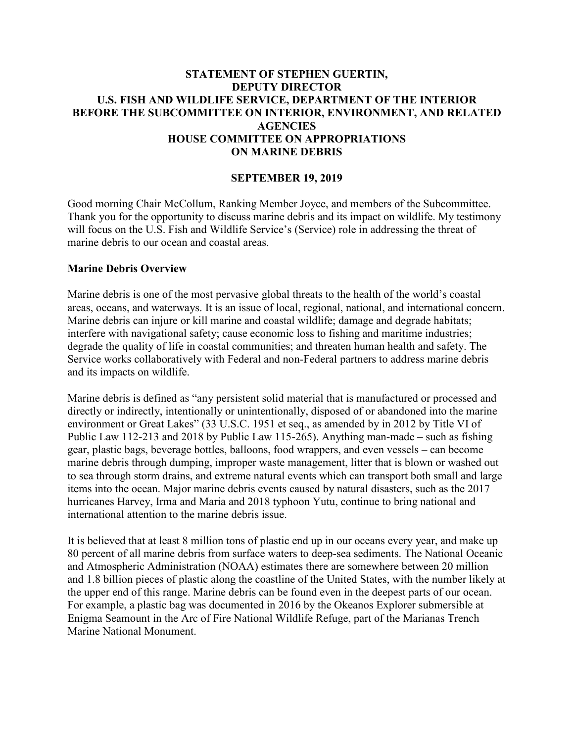### **STATEMENT OF STEPHEN GUERTIN, DEPUTY DIRECTOR U.S. FISH AND WILDLIFE SERVICE, DEPARTMENT OF THE INTERIOR BEFORE THE SUBCOMMITTEE ON INTERIOR, ENVIRONMENT, AND RELATED AGENCIES HOUSE COMMITTEE ON APPROPRIATIONS ON MARINE DEBRIS**

### **SEPTEMBER 19, 2019**

Good morning Chair McCollum, Ranking Member Joyce, and members of the Subcommittee. Thank you for the opportunity to discuss marine debris and its impact on wildlife. My testimony will focus on the U.S. Fish and Wildlife Service's (Service) role in addressing the threat of marine debris to our ocean and coastal areas.

#### **Marine Debris Overview**

Marine debris is one of the most pervasive global threats to the health of the world's coastal areas, oceans, and waterways. It is an issue of local, regional, national, and international concern. Marine debris can injure or kill marine and coastal wildlife; damage and degrade habitats; interfere with navigational safety; cause economic loss to fishing and maritime industries; degrade the quality of life in coastal communities; and threaten human health and safety. The Service works collaboratively with Federal and non-Federal partners to address marine debris and its impacts on wildlife.

Marine debris is defined as "any persistent solid material that is manufactured or processed and directly or indirectly, intentionally or unintentionally, disposed of or abandoned into the marine environment or Great Lakes" (33 U.S.C. 1951 et seq., as amended by in 2012 by Title VI of Public Law 112-213 and 2018 by Public Law 115-265). Anything man-made – such as fishing gear, plastic bags, beverage bottles, balloons, food wrappers, and even vessels – can become marine debris through dumping, improper waste management, litter that is blown or washed out to sea through storm drains, and extreme natural events which can transport both small and large items into the ocean. Major marine debris events caused by natural disasters, such as the 2017 hurricanes Harvey, Irma and Maria and 2018 typhoon Yutu, continue to bring national and international attention to the marine debris issue.

It is believed that at least 8 million tons of plastic end up in our oceans every year, and make up 80 percent of all marine debris from surface waters to deep-sea sediments. The National Oceanic and Atmospheric Administration (NOAA) estimates there are somewhere between 20 million and 1.8 billion pieces of plastic along the coastline of the United States, with the number likely at the upper end of this range. Marine debris can be found even in the deepest parts of our ocean. For example, a plastic bag was documented in 2016 by the Okeanos Explorer submersible at Enigma Seamount in the Arc of Fire National Wildlife Refuge, part of the Marianas Trench Marine National Monument.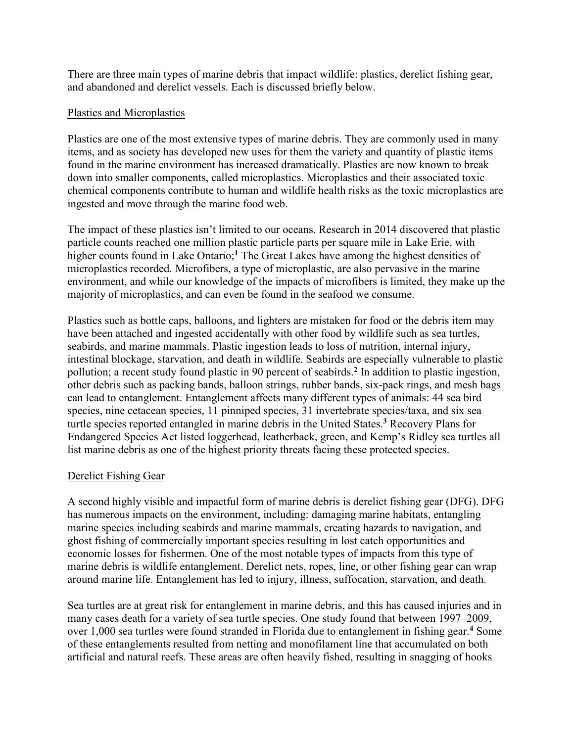There are three main types of marine debris that impact wildlife: plastics, derelict fishing gear, and abandoned and derelict vessels. Each is discussed briefly below.

### Plastics and Microplastics

Plastics are one of the most extensive types of marine debris. They are commonly used in many items, and as society has developed new uses for them the variety and quantity of plastic items found in the marine environment has increased dramatically. Plastics are now known to break down into smaller components, called microplastics. Microplastics and their associated toxic chemical components contribute to human and wildlife health risks as the toxic microplastics are ingested and move through the marine food web.

The impact of these plastics isn't limited to our oceans. Research in 2014 discovered that plastic particle counts reached one million plastic particle parts per square mile in Lake Erie, with higher counts found in Lake Ontario;<sup>1</sup> The Great Lakes have among the highest densities of microplastics recorded. Microfibers, a type of microplastic, are also pervasive in the marine environment, and while our knowledge of the impacts of microfibers is limited, they make up the majority of microplastics, and can even be found in the seafood we consume.

Plastics such as bottle caps, balloons, and lighters are mistaken for food or the debris item may have been attached and ingested accidentally with other food by wildlife such as sea turtles, seabirds, and marine mammals. Plastic ingestion leads to loss of nutrition, internal injury, intestinal blockage, starvation, and death in wildlife. Seabirds are especially vulnerable to plastic pollution; a recent study found plastic in 90 percent of seabirds.**<sup>2</sup>** In addition to plastic ingestion, other debris such as packing bands, balloon strings, rubber bands, six-pack rings, and mesh bags can lead to entanglement. Entanglement affects many different types of animals: 44 sea bird species, nine cetacean species, 11 pinniped species, 31 invertebrate species/taxa, and six sea turtle species reported entangled in marine debris in the United States.**<sup>3</sup>** Recovery Plans for Endangered Species Act listed loggerhead, leatherback, green, and Kemp's Ridley sea turtles all list marine debris as one of the highest priority threats facing these protected species.

#### Derelict Fishing Gear

A second highly visible and impactful form of marine debris is derelict fishing gear (DFG). DFG has numerous impacts on the environment, including: damaging marine habitats, entangling marine species including seabirds and marine mammals, creating hazards to navigation, and ghost fishing of commercially important species resulting in lost catch opportunities and economic losses for fishermen. One of the most notable types of impacts from this type of marine debris is wildlife entanglement. Derelict nets, ropes, line, or other fishing gear can wrap around marine life. Entanglement has led to injury, illness, suffocation, starvation, and death.

Sea turtles are at great risk for entanglement in marine debris, and this has caused injuries and in many cases death for a variety of sea turtle species. One study found that between 1997–2009, over 1,000 sea turtles were found stranded in Florida due to entanglement in fishing gear.**<sup>4</sup>** Some of these entanglements resulted from netting and monofilament line that accumulated on both artificial and natural reefs. These areas are often heavily fished, resulting in snagging of hooks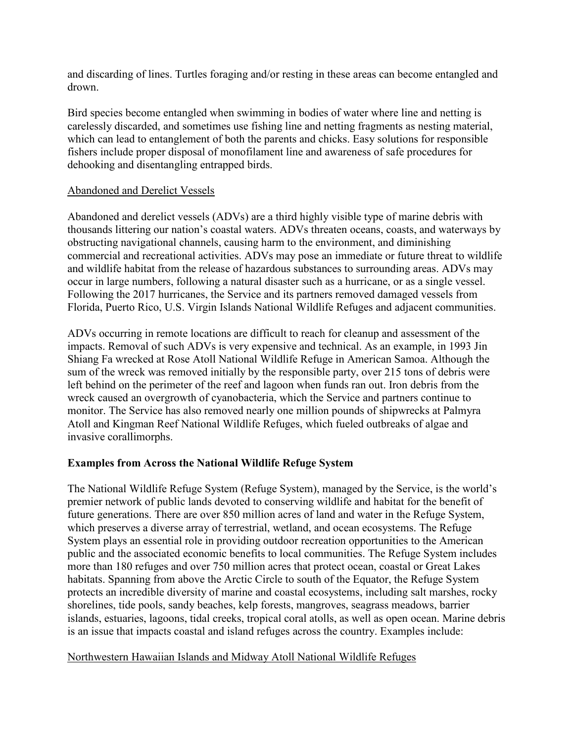and discarding of lines. Turtles foraging and/or resting in these areas can become entangled and drown.

Bird species become entangled when swimming in bodies of water where line and netting is carelessly discarded, and sometimes use fishing line and netting fragments as nesting material, which can lead to entanglement of both the parents and chicks. Easy solutions for responsible fishers include proper disposal of monofilament line and awareness of safe procedures for dehooking and disentangling entrapped birds.

### Abandoned and Derelict Vessels

Abandoned and derelict vessels (ADVs) are a third highly visible type of marine debris with thousands littering our nation's coastal waters. ADVs threaten oceans, coasts, and waterways by obstructing navigational channels, causing harm to the environment, and diminishing commercial and recreational activities. ADVs may pose an immediate or future threat to wildlife and wildlife habitat from the release of hazardous substances to surrounding areas. ADVs may occur in large numbers, following a natural disaster such as a hurricane, or as a single vessel. Following the 2017 hurricanes, the Service and its partners removed damaged vessels from Florida, Puerto Rico, U.S. Virgin Islands National Wildlife Refuges and adjacent communities.

ADVs occurring in remote locations are difficult to reach for cleanup and assessment of the impacts. Removal of such ADVs is very expensive and technical. As an example, in 1993 Jin Shiang Fa wrecked at Rose Atoll National Wildlife Refuge in American Samoa. Although the sum of the wreck was removed initially by the responsible party, over 215 tons of debris were left behind on the perimeter of the reef and lagoon when funds ran out. Iron debris from the wreck caused an overgrowth of cyanobacteria, which the Service and partners continue to monitor. The Service has also removed nearly one million pounds of shipwrecks at Palmyra Atoll and Kingman Reef National Wildlife Refuges, which fueled outbreaks of algae and invasive corallimorphs.

# **Examples from Across the National Wildlife Refuge System**

The National Wildlife Refuge System (Refuge System), managed by the Service, is the world's premier network of public lands devoted to conserving wildlife and habitat for the benefit of future generations. There are over 850 million acres of land and water in the Refuge System, which preserves a diverse array of terrestrial, wetland, and ocean ecosystems. The Refuge System plays an essential role in providing outdoor recreation opportunities to the American public and the associated economic benefits to local communities. The Refuge System includes more than 180 refuges and over 750 million acres that protect ocean, coastal or Great Lakes habitats. Spanning from above the Arctic Circle to south of the Equator, the Refuge System protects an incredible diversity of marine and coastal ecosystems, including salt marshes, rocky shorelines, tide pools, sandy beaches, kelp forests, mangroves, seagrass meadows, barrier islands, estuaries, lagoons, tidal creeks, tropical coral atolls, as well as open ocean. Marine debris is an issue that impacts coastal and island refuges across the country. Examples include:

#### Northwestern Hawaiian Islands and Midway Atoll National Wildlife Refuges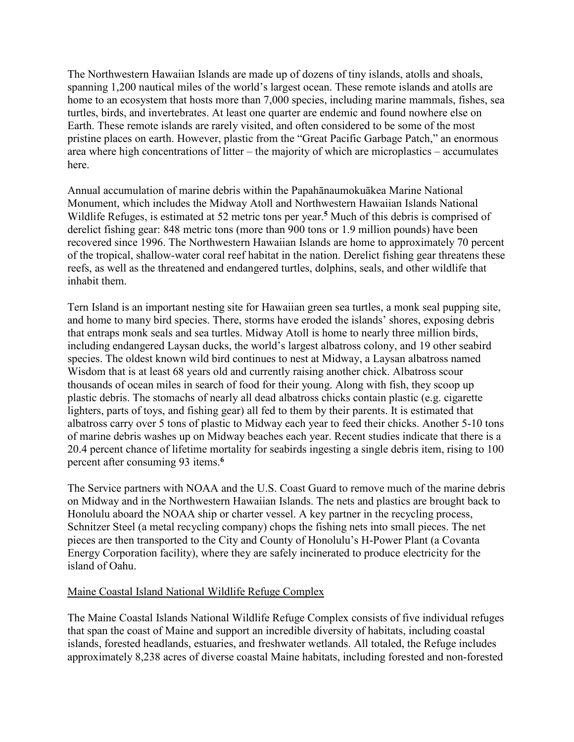The Northwestern Hawaiian Islands are made up of dozens of tiny islands, atolls and shoals, spanning 1,200 nautical miles of the world's largest ocean. These remote islands and atolls are home to an ecosystem that hosts more than 7,000 species, including marine mammals, fishes, sea turtles, birds, and invertebrates. At least one quarter are endemic and found nowhere else on Earth. These remote islands are rarely visited, and often considered to be some of the most pristine places on earth. However, plastic from the "Great Pacific Garbage Patch," an enormous area where high concentrations of litter – the majority of which are microplastics – accumulates here.

Annual accumulation of marine debris within the Papahānaumokuākea Marine National Monument, which includes the Midway Atoll and Northwestern Hawaiian Islands National Wildlife Refuges, is estimated at 52 metric tons per year.**<sup>5</sup>** Much of this debris is comprised of derelict fishing gear: 848 metric tons (more than 900 tons or 1.9 million pounds) have been recovered since 1996. The Northwestern Hawaiian Islands are home to approximately 70 percent of the tropical, shallow-water coral reef habitat in the nation. Derelict fishing gear threatens these reefs, as well as the threatened and endangered turtles, dolphins, seals, and other wildlife that inhabit them.

Tern Island is an important nesting site for Hawaiian green sea turtles, a monk seal pupping site, and home to many bird species. There, storms have eroded the islands' shores, exposing debris that entraps monk seals and sea turtles. Midway Atoll is home to nearly three million birds, including endangered Laysan ducks, the world's largest albatross colony, and 19 other seabird species. The oldest known wild bird continues to nest at Midway, a Laysan albatross named Wisdom that is at least 68 years old and currently raising another chick. Albatross scour thousands of ocean miles in search of food for their young. Along with fish, they scoop up plastic debris. The stomachs of nearly all dead albatross chicks contain plastic (e.g. cigarette lighters, parts of toys, and fishing gear) all fed to them by their parents. It is estimated that albatross carry over 5 tons of plastic to Midway each year to feed their chicks. Another 5-10 tons of marine debris washes up on Midway beaches each year. Recent studies indicate that there is a 20.4 percent chance of lifetime mortality for seabirds ingesting a single debris item, rising to 100 percent after consuming 93 items.**<sup>6</sup>**

The Service partners with NOAA and the U.S. Coast Guard to remove much of the marine debris on Midway and in the Northwestern Hawaiian Islands. The nets and plastics are brought back to Honolulu aboard the NOAA ship or charter vessel. A key partner in the recycling process, Schnitzer Steel (a metal recycling company) chops the fishing nets into small pieces. The net pieces are then transported to the City and County of Honolulu's H-Power Plant (a Covanta Energy Corporation facility), where they are safely incinerated to produce electricity for the island of Oahu.

#### Maine Coastal Island National Wildlife Refuge Complex

The Maine Coastal Islands National Wildlife Refuge Complex consists of five individual refuges that span the coast of Maine and support an incredible diversity of habitats, including coastal islands, forested headlands, estuaries, and freshwater wetlands. All totaled, the Refuge includes approximately 8,238 acres of diverse coastal Maine habitats, including forested and non-forested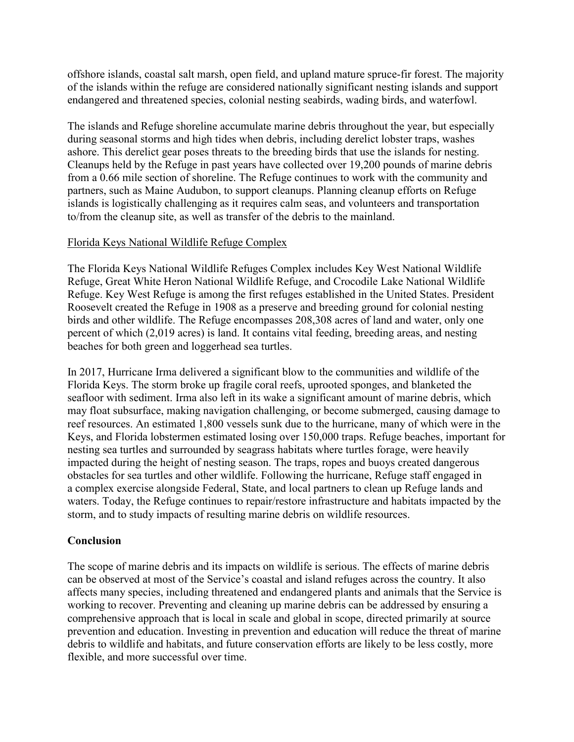offshore islands, coastal salt marsh, open field, and upland mature spruce-fir forest. The majority of the islands within the refuge are considered nationally significant nesting islands and support endangered and threatened species, colonial nesting seabirds, wading birds, and waterfowl.

The islands and Refuge shoreline accumulate marine debris throughout the year, but especially during seasonal storms and high tides when debris, including derelict lobster traps, washes ashore. This derelict gear poses threats to the breeding birds that use the islands for nesting. Cleanups held by the Refuge in past years have collected over 19,200 pounds of marine debris from a 0.66 mile section of shoreline. The Refuge continues to work with the community and partners, such as Maine Audubon, to support cleanups. Planning cleanup efforts on Refuge islands is logistically challenging as it requires calm seas, and volunteers and transportation to/from the cleanup site, as well as transfer of the debris to the mainland.

# Florida Keys National Wildlife Refuge Complex

The Florida Keys National Wildlife Refuges Complex includes Key West National Wildlife Refuge, Great White Heron National Wildlife Refuge, and Crocodile Lake National Wildlife Refuge. Key West Refuge is among the first refuges established in the United States. President Roosevelt created the Refuge in 1908 as a preserve and breeding ground for colonial nesting birds and other wildlife. The Refuge encompasses 208,308 acres of land and water, only one percent of which (2,019 acres) is land. It contains vital feeding, breeding areas, and nesting beaches for both green and loggerhead sea turtles.

In 2017, Hurricane Irma delivered a significant blow to the communities and wildlife of the Florida Keys. The storm broke up fragile coral reefs, uprooted sponges, and blanketed the seafloor with sediment. Irma also left in its wake a significant amount of marine debris, which may float subsurface, making navigation challenging, or become submerged, causing damage to reef resources. An estimated 1,800 vessels sunk due to the hurricane, many of which were in the Keys, and Florida lobstermen estimated losing over 150,000 traps. Refuge beaches, important for nesting sea turtles and surrounded by seagrass habitats where turtles forage, were heavily impacted during the height of nesting season. The traps, ropes and buoys created dangerous obstacles for sea turtles and other wildlife. Following the hurricane, Refuge staff engaged in a complex exercise alongside Federal, State, and local partners to clean up Refuge lands and waters. Today, the Refuge continues to repair/restore infrastructure and habitats impacted by the storm, and to study impacts of resulting marine debris on wildlife resources.

# **Conclusion**

The scope of marine debris and its impacts on wildlife is serious. The effects of marine debris can be observed at most of the Service's coastal and island refuges across the country. It also affects many species, including threatened and endangered plants and animals that the Service is working to recover. Preventing and cleaning up marine debris can be addressed by ensuring a comprehensive approach that is local in scale and global in scope, directed primarily at source prevention and education. Investing in prevention and education will reduce the threat of marine debris to wildlife and habitats, and future conservation efforts are likely to be less costly, more flexible, and more successful over time.